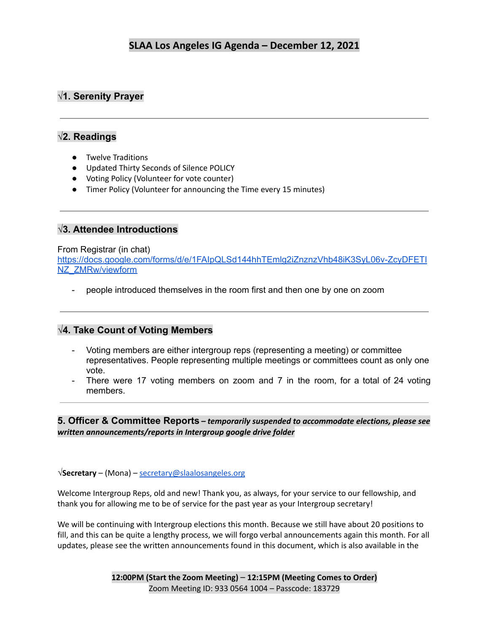# **√1. Serenity Prayer**

### **√2. Readings**

- Twelve Traditions
- Updated Thirty Seconds of Silence POLICY
- Voting Policy (Volunteer for vote counter)
- Timer Policy (Volunteer for announcing the Time every 15 minutes)

### **√3. Attendee Introductions**

#### From Registrar (in chat)

[https://docs.google.com/forms/d/e/1FAIpQLSd144hhTEmlg2iZnznzVhb48iK3SyL06v-ZcyDFETI](https://docs.google.com/forms/d/e/1FAIpQLSd144hhTEmlg2iZnznzVhb48iK3SyL06v-ZcyDFETINZ_ZMRw/viewform) [NZ\\_ZMRw/viewform](https://docs.google.com/forms/d/e/1FAIpQLSd144hhTEmlg2iZnznzVhb48iK3SyL06v-ZcyDFETINZ_ZMRw/viewform)

people introduced themselves in the room first and then one by one on zoom

### **√4. Take Count of Voting Members**

- Voting members are either intergroup reps (representing a meeting) or committee representatives. People representing multiple meetings or committees count as only one vote.
- There were 17 voting members on zoom and 7 in the room, for a total of 24 voting members.

**5. Officer & Committee Reports** *– temporarily suspended to accommodate elections, please see written announcements/reports in Intergroup google drive folder*

**√Secretary** – (Mona) – [secretary@slaalosangeles.org](mailto:secretary@slaalosangeles.org)

Welcome Intergroup Reps, old and new! Thank you, as always, for your service to our fellowship, and thank you for allowing me to be of service for the past year as your Intergroup secretary!

We will be continuing with Intergroup elections this month. Because we still have about 20 positions to fill, and this can be quite a lengthy process, we will forgo verbal announcements again this month. For all updates, please see the written announcements found in this document, which is also available in the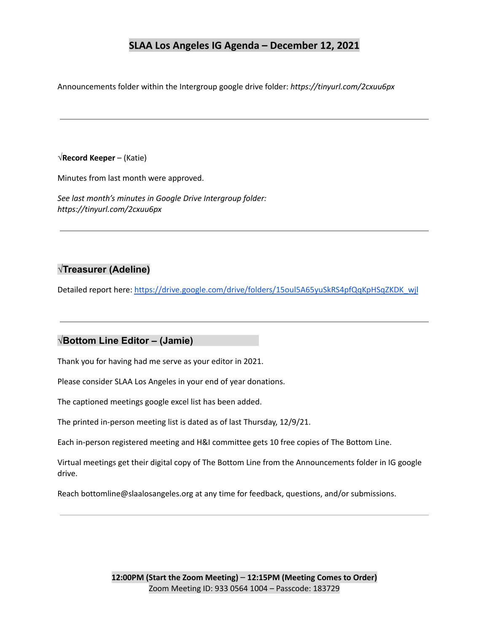Announcements folder within the Intergroup google drive folder: *https://tinyurl.com/2cxuu6px*

#### **√Record Keeper** – (Katie)

Minutes from last month were approved.

*See last month's minutes in Google Drive Intergroup folder: https://tinyurl.com/2cxuu6px*

## **√Treasurer (Adeline)**

Detailed report here: [https://drive.google.com/drive/folders/15oul5A65yuSkRS4pfQqKpHSqZKDK\\_wjl](https://drive.google.com/drive/folders/15oul5A65yuSkRS4pfQqKpHSqZKDK_wjl)

#### **√Bottom Line Editor – (Jamie)**

Thank you for having had me serve as your editor in 2021.

Please consider SLAA Los Angeles in your end of year donations.

The captioned meetings google excel list has been added.

The printed in-person meeting list is dated as of last Thursday, 12/9/21.

Each in-person registered meeting and H&I committee gets 10 free copies of The Bottom Line.

Virtual meetings get their digital copy of The Bottom Line from the Announcements folder in IG google drive.

Reach bottomline@slaalosangeles.org at any time for feedback, questions, and/or submissions.

**12:00PM (Start the Zoom Meeting)** – **12:15PM (Meeting Comes to Order)** Zoom Meeting ID: 933 0564 1004 – Passcode: 183729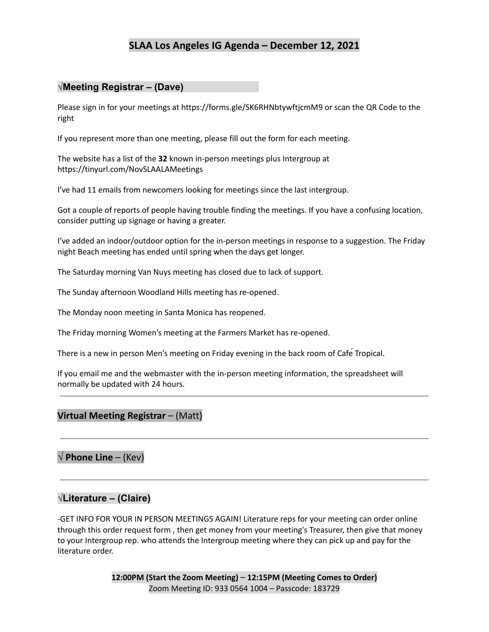### **√Meeting Registrar – (Dave)**

Please sign in for your meetings at https://forms.gle/SK6RHNbtywftjcmM9 or scan the QR Code to the right

If you represent more than one meeting, please fill out the form for each meeting.

The website has a list of the **32** known in-person meetings plus Intergroup at https://tinyurl.com/NovSLAALAMeetings

I've had 11 emails from newcomers looking for meetings since the last intergroup.

Got a couple of reports of people having trouble finding the meetings. If you have a confusing location, consider putting up signage or having a greater.

I've added an indoor/outdoor option for the in-person meetings in response to a suggestion. The Friday night Beach meeting has ended until spring when the days get longer.

The Saturday morning Van Nuys meeting has closed due to lack of support.

The Sunday afternoon Woodland Hills meeting has re-opened.

The Monday noon meeting in Santa Monica has reopened.

The Friday morning Women's meeting at the Farmers Market has re-opened.

There is a new in person Men's meeting on Friday evening in the back room of Cafe Tropical.

If you email me and the webmaster with the in-person meeting information, the spreadsheet will normally be updated with 24 hours.

#### **Virtual Meeting Registrar** – (Matt)

**√ Phone Line** – (Kev)

### **√Literature – (Claire)**

-GET INFO FOR YOUR IN PERSON MEETINGS AGAIN! Literature reps for your meeting can order online through this order request form , then get money from your meeting's Treasurer, then give that money to your Intergroup rep. who attends the Intergroup meeting where they can pick up and pay for the literature order.

> **12:00PM (Start the Zoom Meeting)** – **12:15PM (Meeting Comes to Order)** Zoom Meeting ID: 933 0564 1004 – Passcode: 183729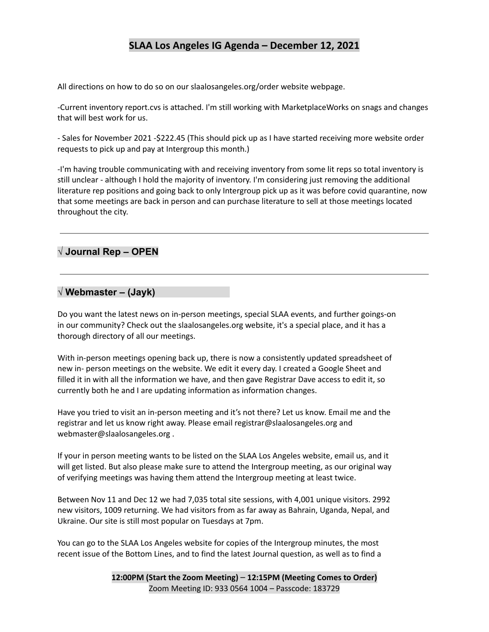All directions on how to do so on our slaalosangeles.org/order website webpage.

-Current inventory report.cvs is attached. I'm still working with MarketplaceWorks on snags and changes that will best work for us.

- Sales for November 2021 -\$222.45 (This should pick up as I have started receiving more website order requests to pick up and pay at Intergroup this month.)

-I'm having trouble communicating with and receiving inventory from some lit reps so total inventory is still unclear - although I hold the majority of inventory. I'm considering just removing the additional literature rep positions and going back to only Intergroup pick up as it was before covid quarantine, now that some meetings are back in person and can purchase literature to sell at those meetings located throughout the city.

# **√ Journal Rep – OPEN**

#### **√ Webmaster – (Jayk)**

Do you want the latest news on in-person meetings, special SLAA events, and further goings-on in our community? Check out the slaalosangeles.org website, it's a special place, and it has a thorough directory of all our meetings.

With in-person meetings opening back up, there is now a consistently updated spreadsheet of new in- person meetings on the website. We edit it every day. I created a Google Sheet and filled it in with all the information we have, and then gave Registrar Dave access to edit it, so currently both he and I are updating information as information changes.

Have you tried to visit an in-person meeting and it's not there? Let us know. Email me and the registrar and let us know right away. Please email registrar@slaalosangeles.org and webmaster@slaalosangeles.org .

If your in person meeting wants to be listed on the SLAA Los Angeles website, email us, and it will get listed. But also please make sure to attend the Intergroup meeting, as our original way of verifying meetings was having them attend the Intergroup meeting at least twice.

Between Nov 11 and Dec 12 we had 7,035 total site sessions, with 4,001 unique visitors. 2992 new visitors, 1009 returning. We had visitors from as far away as Bahrain, Uganda, Nepal, and Ukraine. Our site is still most popular on Tuesdays at 7pm.

You can go to the SLAA Los Angeles website for copies of the Intergroup minutes, the most recent issue of the Bottom Lines, and to find the latest Journal question, as well as to find a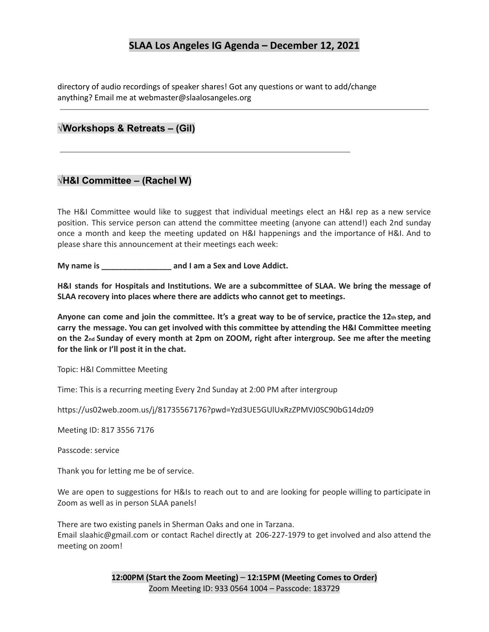directory of audio recordings of speaker shares! Got any questions or want to add/change anything? Email me at webmaster@slaalosangeles.org

#### **√Workshops & Retreats – (Gil)**

#### **√H&I Committee – (Rachel W)**

The H&I Committee would like to suggest that individual meetings elect an H&I rep as a new service position. This service person can attend the committee meeting (anyone can attend!) each 2nd sunday once a month and keep the meeting updated on H&I happenings and the importance of H&I. And to please share this announcement at their meetings each week:

**My name is \_\_\_\_\_\_\_\_\_\_\_\_\_\_\_\_ and I am a Sex and Love Addict.**

**H&I stands for Hospitals and Institutions. We are a subcommittee of SLAA. We bring the message of SLAA recovery into places where there are addicts who cannot get to meetings.**

Anyone can come and join the committee. It's a great way to be of service, practice the 12th step, and **carry the message. You can get involved with this committee by attending the H&I Committee meeting** on the 2nd Sunday of every month at 2pm on ZOOM, right after intergroup. See me after the meeting **for the link or I'll post it in the chat.**

Topic: H&I Committee Meeting

Time: This is a recurring meeting Every 2nd Sunday at 2:00 PM after intergroup

https://us02web.zoom.us/j/81735567176?pwd=Yzd3UE5GUlUxRzZPMVJ0SC90bG14dz09

Meeting ID: 817 3556 7176

Passcode: service

Thank you for letting me be of service.

We are open to suggestions for H&Is to reach out to and are looking for people willing to participate in Zoom as well as in person SLAA panels!

There are two existing panels in Sherman Oaks and one in Tarzana. Email slaahic@gmail.com or contact Rachel directly at 206-227-1979 to get involved and also attend the meeting on zoom!

> **12:00PM (Start the Zoom Meeting)** – **12:15PM (Meeting Comes to Order)** Zoom Meeting ID: 933 0564 1004 – Passcode: 183729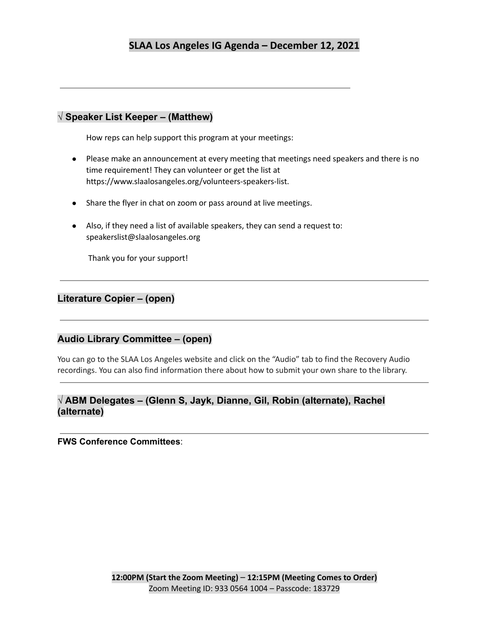### **√ Speaker List Keeper – (Matthew)**

How reps can help support this program at your meetings:

- Please make an announcement at every meeting that meetings need speakers and there is no time requirement! They can volunteer or get the list at https://www.slaalosangeles.org/volunteers-speakers-list.
- Share the flyer in chat on zoom or pass around at live meetings.
- Also, if they need a list of available speakers, they can send a request to: speakerslist@slaalosangeles.org

Thank you for your support!

### **Literature Copier – (open)**

### **Audio Library Committee – (open)**

You can go to the SLAA Los Angeles website and click on the "Audio" tab to find the Recovery Audio recordings. You can also find information there about how to submit your own share to the library.

### **√ ABM Delegates – (Glenn S, Jayk, Dianne, Gil, Robin (alternate), Rachel (alternate)**

**FWS Conference Committees**: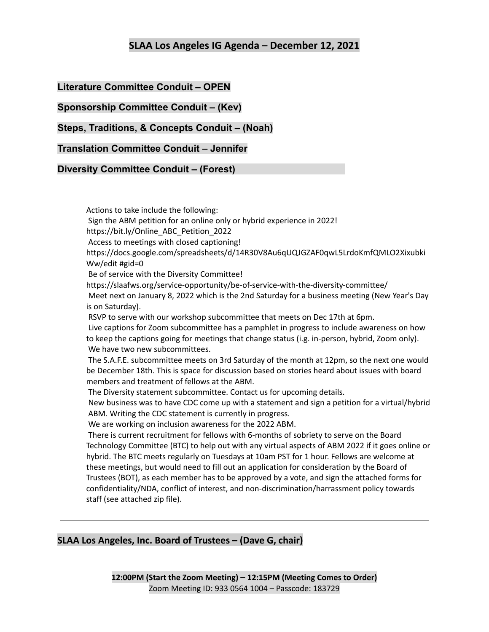**Literature Committee Conduit – OPEN**

**Sponsorship Committee Conduit – (Kev)**

**Steps, Traditions, & Concepts Conduit – (Noah)**

**Translation Committee Conduit – Jennifer**

**Diversity Committee Conduit – (Forest)**

Actions to take include the following: Sign the ABM petition for an online only or hybrid experience in 2022! https://bit.ly/Online\_ABC\_Petition\_2022 Access to meetings with closed captioning! https://docs.google.com/spreadsheets/d/14R30V8Au6qUQJGZAF0qwL5LrdoKmfQMLO2Xixubki Ww/edit #gid=0 Be of service with the Diversity Committee! https://slaafws.org/service-opportunity/be-of-service-with-the-diversity-committee/ Meet next on January 8, 2022 which is the 2nd Saturday for a business meeting (New Year's Day is on Saturday). RSVP to serve with our workshop subcommittee that meets on Dec 17th at 6pm. Live captions for Zoom subcommittee has a pamphlet in progress to include awareness on how to keep the captions going for meetings that change status (i.g. in-person, hybrid, Zoom only). We have two new subcommittees. The S.A.F.E. subcommittee meets on 3rd Saturday of the month at 12pm, so the next one would be December 18th. This is space for discussion based on stories heard about issues with board members and treatment of fellows at the ABM. The Diversity statement subcommittee. Contact us for upcoming details. New business was to have CDC come up with a statement and sign a petition for a virtual/hybrid ABM. Writing the CDC statement is currently in progress. We are working on inclusion awareness for the 2022 ABM. There is current recruitment for fellows with 6-months of sobriety to serve on the Board Technology Committee (BTC) to help out with any virtual aspects of ABM 2022 if it goes online or hybrid. The BTC meets regularly on Tuesdays at 10am PST for 1 hour. Fellows are welcome at these meetings, but would need to fill out an application for consideration by the Board of Trustees (BOT), as each member has to be approved by a vote, and sign the attached forms for confidentiality/NDA, conflict of interest, and non-discrimination/harrassment policy towards staff (see attached zip file).

### **SLAA Los Angeles, Inc. Board of Trustees – (Dave G, chair)**